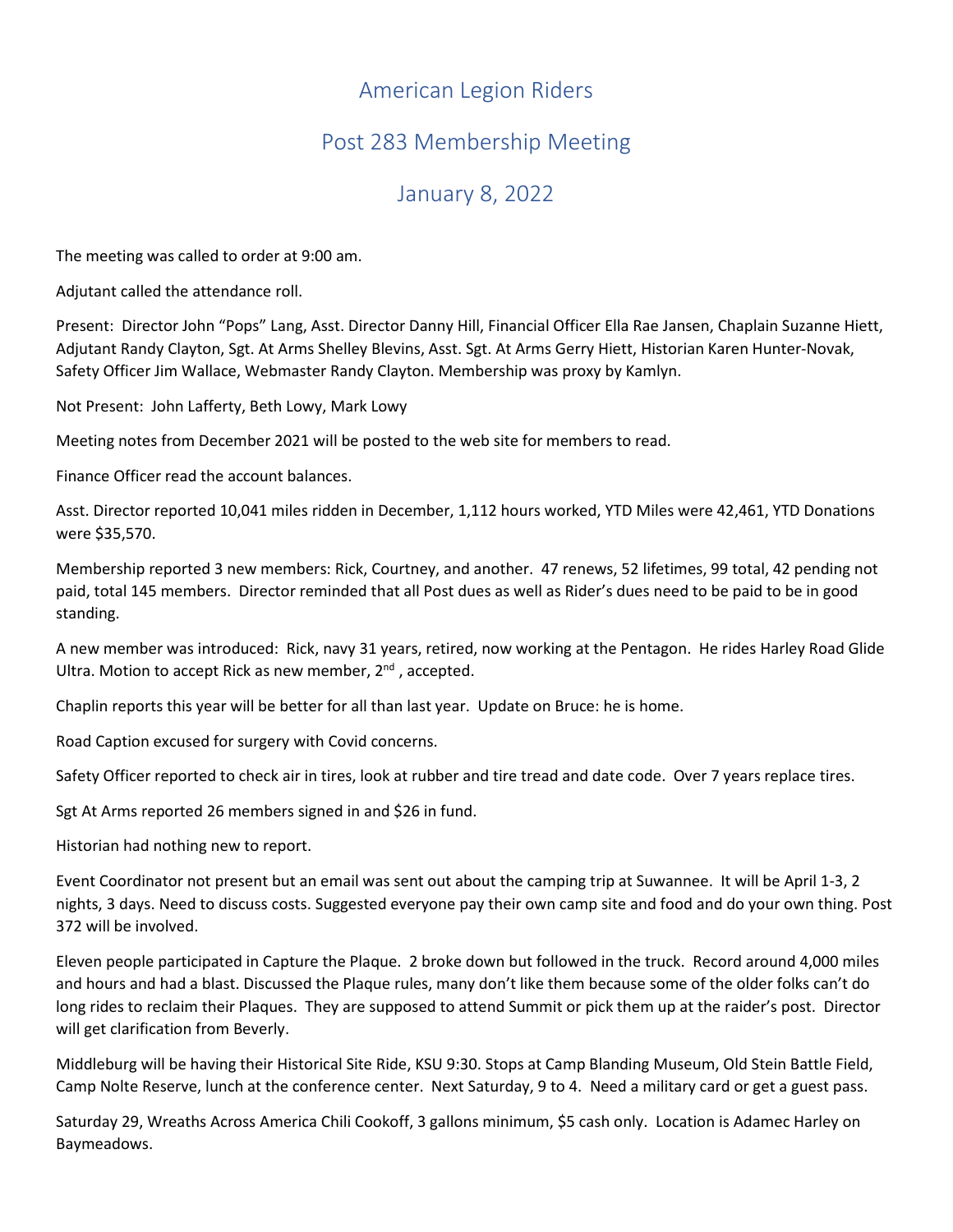## American Legion Riders

## Post 283 Membership Meeting

## January 8, 2022

The meeting was called to order at 9:00 am.

Adjutant called the attendance roll.

Present: Director John "Pops" Lang, Asst. Director Danny Hill, Financial Officer Ella Rae Jansen, Chaplain Suzanne Hiett, Adjutant Randy Clayton, Sgt. At Arms Shelley Blevins, Asst. Sgt. At Arms Gerry Hiett, Historian Karen Hunter-Novak, Safety Officer Jim Wallace, Webmaster Randy Clayton. Membership was proxy by Kamlyn.

Not Present: John Lafferty, Beth Lowy, Mark Lowy

Meeting notes from December 2021 will be posted to the web site for members to read.

Finance Officer read the account balances.

Asst. Director reported 10,041 miles ridden in December, 1,112 hours worked, YTD Miles were 42,461, YTD Donations were \$35,570.

Membership reported 3 new members: Rick, Courtney, and another. 47 renews, 52 lifetimes, 99 total, 42 pending not paid, total 145 members. Director reminded that all Post dues as well as Rider's dues need to be paid to be in good standing.

A new member was introduced: Rick, navy 31 years, retired, now working at the Pentagon. He rides Harley Road Glide Ultra. Motion to accept Rick as new member, 2<sup>nd</sup>, accepted.

Chaplin reports this year will be better for all than last year. Update on Bruce: he is home.

Road Caption excused for surgery with Covid concerns.

Safety Officer reported to check air in tires, look at rubber and tire tread and date code. Over 7 years replace tires.

Sgt At Arms reported 26 members signed in and \$26 in fund.

Historian had nothing new to report.

Event Coordinator not present but an email was sent out about the camping trip at Suwannee. It will be April 1-3, 2 nights, 3 days. Need to discuss costs. Suggested everyone pay their own camp site and food and do your own thing. Post 372 will be involved.

Eleven people participated in Capture the Plaque. 2 broke down but followed in the truck. Record around 4,000 miles and hours and had a blast. Discussed the Plaque rules, many don't like them because some of the older folks can't do long rides to reclaim their Plaques. They are supposed to attend Summit or pick them up at the raider's post. Director will get clarification from Beverly.

Middleburg will be having their Historical Site Ride, KSU 9:30. Stops at Camp Blanding Museum, Old Stein Battle Field, Camp Nolte Reserve, lunch at the conference center. Next Saturday, 9 to 4. Need a military card or get a guest pass.

Saturday 29, Wreaths Across America Chili Cookoff, 3 gallons minimum, \$5 cash only. Location is Adamec Harley on Baymeadows.